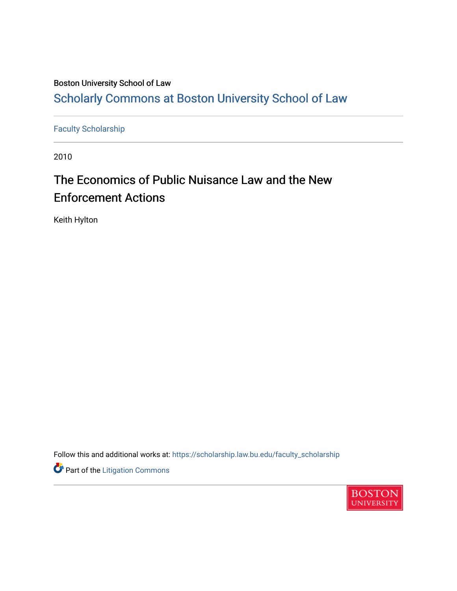## Boston University School of Law

## [Scholarly Commons at Boston University School of Law](https://scholarship.law.bu.edu/)

[Faculty Scholarship](https://scholarship.law.bu.edu/faculty_scholarship)

2010

# The Economics of Public Nuisance Law and the New Enforcement Actions

Keith Hylton

Follow this and additional works at: [https://scholarship.law.bu.edu/faculty\\_scholarship](https://scholarship.law.bu.edu/faculty_scholarship?utm_source=scholarship.law.bu.edu%2Ffaculty_scholarship%2F769&utm_medium=PDF&utm_campaign=PDFCoverPages)

Part of the [Litigation Commons](http://network.bepress.com/hgg/discipline/910?utm_source=scholarship.law.bu.edu%2Ffaculty_scholarship%2F769&utm_medium=PDF&utm_campaign=PDFCoverPages)

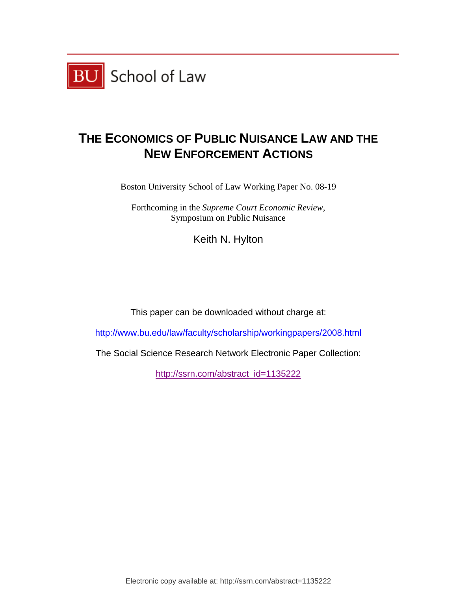

# **THE ECONOMICS OF PUBLIC NUISANCE LAW AND THE NEW ENFORCEMENT ACTIONS**

Boston University School of Law Working Paper No. 08-19

Forthcoming in the *Supreme Court Economic Review*, Symposium on Public Nuisance

Keith N. Hylton

This paper can be downloaded without charge at:

http://www.bu.edu/law/faculty/scholarship/workingpapers/2008.html

The Social Science Research Network Electronic Paper Collection:

http://ssrn.com/abstract\_id=1135222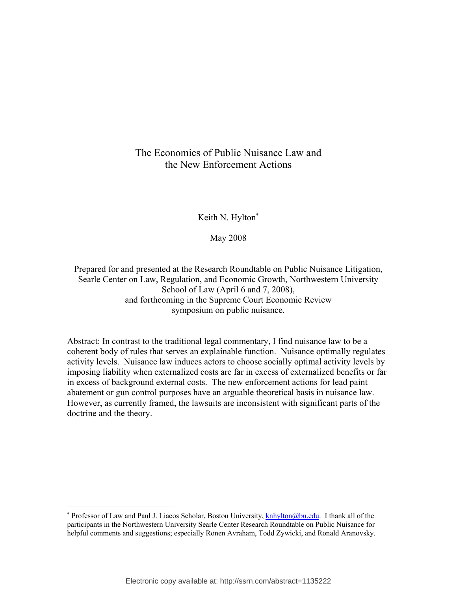## The Economics of Public Nuisance Law and the New Enforcement Actions

Keith N. Hylton<sup>\*</sup>

May 2008

Prepared for and presented at the Research Roundtable on Public Nuisance Litigation, Searle Center on Law, Regulation, and Economic Growth, Northwestern University School of Law (April 6 and 7, 2008), and forthcoming in the Supreme Court Economic Review symposium on public nuisance.

Abstract: In contrast to the traditional legal commentary, I find nuisance law to be a coherent body of rules that serves an explainable function. Nuisance optimally regulates activity levels. Nuisance law induces actors to choose socially optimal activity levels by imposing liability when externalized costs are far in excess of externalized benefits or far in excess of background external costs. The new enforcement actions for lead paint abatement or gun control purposes have an arguable theoretical basis in nuisance law. However, as currently framed, the lawsuits are inconsistent with significant parts of the doctrine and the theory.

1

<sup>∗</sup> Professor of Law and Paul J. Liacos Scholar, Boston University, knhylton@bu.edu. I thank all of the participants in the Northwestern University Searle Center Research Roundtable on Public Nuisance for helpful comments and suggestions; especially Ronen Avraham, Todd Zywicki, and Ronald Aranovsky.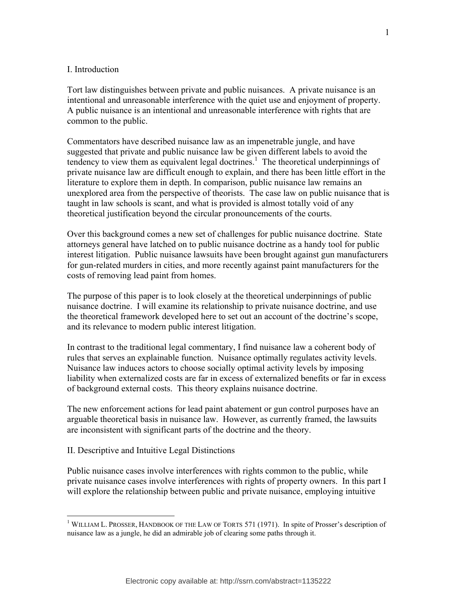#### I. Introduction

Tort law distinguishes between private and public nuisances. A private nuisance is an intentional and unreasonable interference with the quiet use and enjoyment of property. A public nuisance is an intentional and unreasonable interference with rights that are common to the public.

Commentators have described nuisance law as an impenetrable jungle, and have suggested that private and public nuisance law be given different labels to avoid the tendency to view them as equivalent legal doctrines.<sup>1</sup> The theoretical underpinnings of private nuisance law are difficult enough to explain, and there has been little effort in the literature to explore them in depth. In comparison, public nuisance law remains an unexplored area from the perspective of theorists. The case law on public nuisance that is taught in law schools is scant, and what is provided is almost totally void of any theoretical justification beyond the circular pronouncements of the courts.

Over this background comes a new set of challenges for public nuisance doctrine. State attorneys general have latched on to public nuisance doctrine as a handy tool for public interest litigation. Public nuisance lawsuits have been brought against gun manufacturers for gun-related murders in cities, and more recently against paint manufacturers for the costs of removing lead paint from homes.

The purpose of this paper is to look closely at the theoretical underpinnings of public nuisance doctrine. I will examine its relationship to private nuisance doctrine, and use the theoretical framework developed here to set out an account of the doctrine's scope, and its relevance to modern public interest litigation.

In contrast to the traditional legal commentary, I find nuisance law a coherent body of rules that serves an explainable function. Nuisance optimally regulates activity levels. Nuisance law induces actors to choose socially optimal activity levels by imposing liability when externalized costs are far in excess of externalized benefits or far in excess of background external costs. This theory explains nuisance doctrine.

The new enforcement actions for lead paint abatement or gun control purposes have an arguable theoretical basis in nuisance law. However, as currently framed, the lawsuits are inconsistent with significant parts of the doctrine and the theory.

#### II. Descriptive and Intuitive Legal Distinctions

 $\overline{a}$ 

Public nuisance cases involve interferences with rights common to the public, while private nuisance cases involve interferences with rights of property owners. In this part I will explore the relationship between public and private nuisance, employing intuitive

<sup>&</sup>lt;sup>1</sup> WILLIAM L. PROSSER, HANDBOOK OF THE LAW OF TORTS 571 (1971). In spite of Prosser's description of nuisance law as a jungle, he did an admirable job of clearing some paths through it.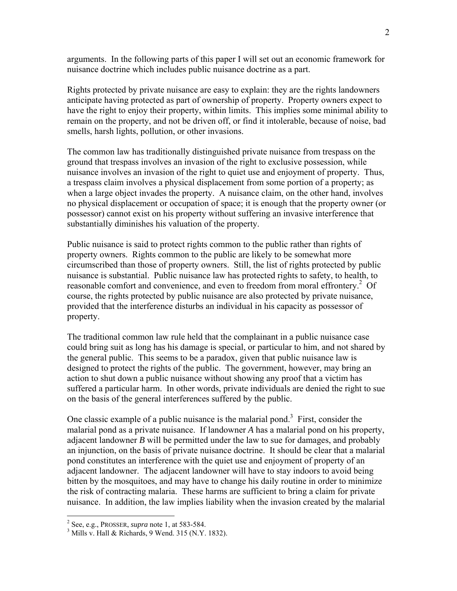arguments. In the following parts of this paper I will set out an economic framework for nuisance doctrine which includes public nuisance doctrine as a part.

Rights protected by private nuisance are easy to explain: they are the rights landowners anticipate having protected as part of ownership of property. Property owners expect to have the right to enjoy their property, within limits. This implies some minimal ability to remain on the property, and not be driven off, or find it intolerable, because of noise, bad smells, harsh lights, pollution, or other invasions.

The common law has traditionally distinguished private nuisance from trespass on the ground that trespass involves an invasion of the right to exclusive possession, while nuisance involves an invasion of the right to quiet use and enjoyment of property. Thus, a trespass claim involves a physical displacement from some portion of a property; as when a large object invades the property. A nuisance claim, on the other hand, involves no physical displacement or occupation of space; it is enough that the property owner (or possessor) cannot exist on his property without suffering an invasive interference that substantially diminishes his valuation of the property.

Public nuisance is said to protect rights common to the public rather than rights of property owners. Rights common to the public are likely to be somewhat more circumscribed than those of property owners. Still, the list of rights protected by public nuisance is substantial. Public nuisance law has protected rights to safety, to health, to reasonable comfort and convenience, and even to freedom from moral effrontery.<sup>2</sup> Of course, the rights protected by public nuisance are also protected by private nuisance, provided that the interference disturbs an individual in his capacity as possessor of property.

The traditional common law rule held that the complainant in a public nuisance case could bring suit as long has his damage is special, or particular to him, and not shared by the general public. This seems to be a paradox, given that public nuisance law is designed to protect the rights of the public. The government, however, may bring an action to shut down a public nuisance without showing any proof that a victim has suffered a particular harm. In other words, private individuals are denied the right to sue on the basis of the general interferences suffered by the public.

One classic example of a public nuisance is the malarial pond.<sup>3</sup> First, consider the malarial pond as a private nuisance. If landowner *A* has a malarial pond on his property, adjacent landowner *B* will be permitted under the law to sue for damages, and probably an injunction, on the basis of private nuisance doctrine. It should be clear that a malarial pond constitutes an interference with the quiet use and enjoyment of property of an adjacent landowner. The adjacent landowner will have to stay indoors to avoid being bitten by the mosquitoes, and may have to change his daily routine in order to minimize the risk of contracting malaria. These harms are sufficient to bring a claim for private nuisance. In addition, the law implies liability when the invasion created by the malarial

1

<sup>&</sup>lt;sup>2</sup> See, e.g., PROSSER, *supra* note 1, at 583-584.<br><sup>3</sup> Mills v. Hall & Bisbards, 0 Wand, 315 (N Y)

 $3$  Mills v. Hall & Richards, 9 Wend. 315 (N.Y. 1832).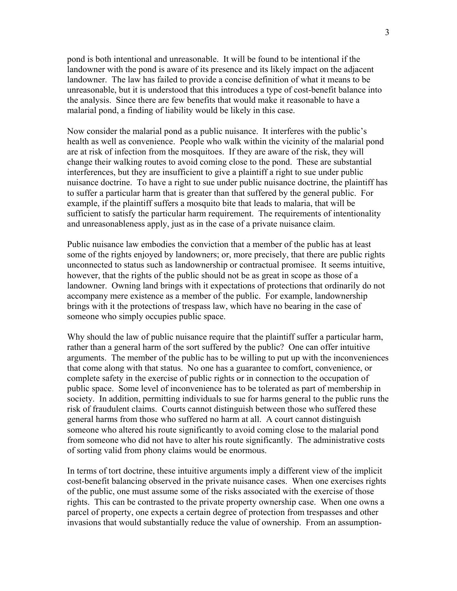pond is both intentional and unreasonable. It will be found to be intentional if the landowner with the pond is aware of its presence and its likely impact on the adjacent landowner. The law has failed to provide a concise definition of what it means to be unreasonable, but it is understood that this introduces a type of cost-benefit balance into the analysis. Since there are few benefits that would make it reasonable to have a malarial pond, a finding of liability would be likely in this case.

Now consider the malarial pond as a public nuisance. It interferes with the public's health as well as convenience. People who walk within the vicinity of the malarial pond are at risk of infection from the mosquitoes. If they are aware of the risk, they will change their walking routes to avoid coming close to the pond. These are substantial interferences, but they are insufficient to give a plaintiff a right to sue under public nuisance doctrine. To have a right to sue under public nuisance doctrine, the plaintiff has to suffer a particular harm that is greater than that suffered by the general public. For example, if the plaintiff suffers a mosquito bite that leads to malaria, that will be sufficient to satisfy the particular harm requirement. The requirements of intentionality and unreasonableness apply, just as in the case of a private nuisance claim.

Public nuisance law embodies the conviction that a member of the public has at least some of the rights enjoyed by landowners; or, more precisely, that there are public rights unconnected to status such as landownership or contractual promisee. It seems intuitive, however, that the rights of the public should not be as great in scope as those of a landowner. Owning land brings with it expectations of protections that ordinarily do not accompany mere existence as a member of the public. For example, landownership brings with it the protections of trespass law, which have no bearing in the case of someone who simply occupies public space.

Why should the law of public nuisance require that the plaintiff suffer a particular harm, rather than a general harm of the sort suffered by the public? One can offer intuitive arguments. The member of the public has to be willing to put up with the inconveniences that come along with that status. No one has a guarantee to comfort, convenience, or complete safety in the exercise of public rights or in connection to the occupation of public space. Some level of inconvenience has to be tolerated as part of membership in society. In addition, permitting individuals to sue for harms general to the public runs the risk of fraudulent claims. Courts cannot distinguish between those who suffered these general harms from those who suffered no harm at all. A court cannot distinguish someone who altered his route significantly to avoid coming close to the malarial pond from someone who did not have to alter his route significantly. The administrative costs of sorting valid from phony claims would be enormous.

In terms of tort doctrine, these intuitive arguments imply a different view of the implicit cost-benefit balancing observed in the private nuisance cases. When one exercises rights of the public, one must assume some of the risks associated with the exercise of those rights. This can be contrasted to the private property ownership case. When one owns a parcel of property, one expects a certain degree of protection from trespasses and other invasions that would substantially reduce the value of ownership. From an assumption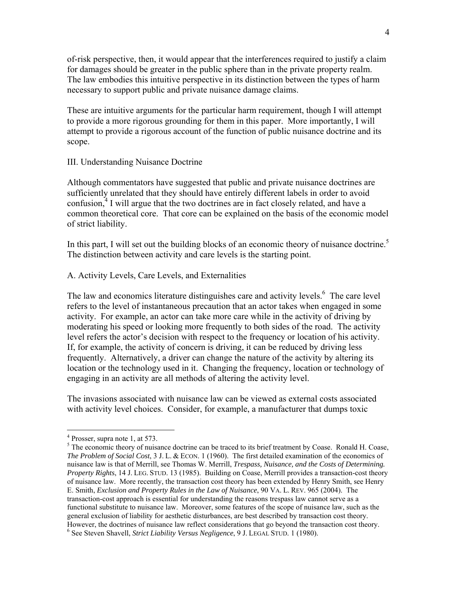of-risk perspective, then, it would appear that the interferences required to justify a claim for damages should be greater in the public sphere than in the private property realm. The law embodies this intuitive perspective in its distinction between the types of harm necessary to support public and private nuisance damage claims.

These are intuitive arguments for the particular harm requirement, though I will attempt to provide a more rigorous grounding for them in this paper. More importantly, I will attempt to provide a rigorous account of the function of public nuisance doctrine and its scope.

#### III. Understanding Nuisance Doctrine

Although commentators have suggested that public and private nuisance doctrines are sufficiently unrelated that they should have entirely different labels in order to avoid confusion, $4$  I will argue that the two doctrines are in fact closely related, and have a common theoretical core. That core can be explained on the basis of the economic model of strict liability.

In this part, I will set out the building blocks of an economic theory of nuisance doctrine.<sup>5</sup> The distinction between activity and care levels is the starting point.

A. Activity Levels, Care Levels, and Externalities

The law and economics literature distinguishes care and activity levels.<sup>6</sup> The care level refers to the level of instantaneous precaution that an actor takes when engaged in some activity. For example, an actor can take more care while in the activity of driving by moderating his speed or looking more frequently to both sides of the road. The activity level refers the actor's decision with respect to the frequency or location of his activity. If, for example, the activity of concern is driving, it can be reduced by driving less frequently. Alternatively, a driver can change the nature of the activity by altering its location or the technology used in it. Changing the frequency, location or technology of engaging in an activity are all methods of altering the activity level.

The invasions associated with nuisance law can be viewed as external costs associated with activity level choices. Consider, for example, a manufacturer that dumps toxic

<sup>&</sup>lt;sup>4</sup> Prosser, supra note 1, at 573.

<sup>&</sup>lt;sup>5</sup> The economic theory of nuisance doctrine can be traced to its brief treatment by Coase. Ronald H. Coase, *The Problem of Social Cost*, 3 J. L. & ECON. 1 (1960). The first detailed examination of the economics of nuisance law is that of Merrill, see Thomas W. Merrill, *Trespass, Nuisance, and the Costs of Determining. Property Rights*, 14 J. LEG. STUD. 13 (1985). Building on Coase, Merrill provides a transaction-cost theory of nuisance law. More recently, the transaction cost theory has been extended by Henry Smith, see Henry E. Smith, *Exclusion and Property Rules in the Law of Nuisance*, 90 VA. L. REV. 965 (2004). The transaction-cost approach is essential for understanding the reasons trespass law cannot serve as a functional substitute to nuisance law. Moreover, some features of the scope of nuisance law, such as the general exclusion of liability for aesthetic disturbances, are best described by transaction cost theory. However, the doctrines of nuisance law reflect considerations that go beyond the transaction cost theory. 6 <sup>6</sup> See Steven Shavell, *Strict Liability Versus Negligence*, 9 J. LEGAL STUD. 1 (1980).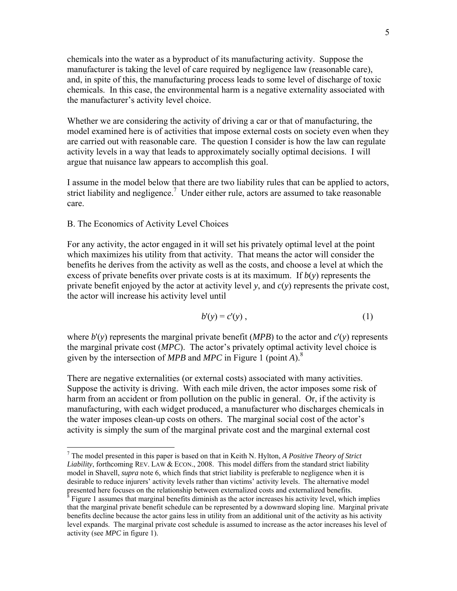chemicals into the water as a byproduct of its manufacturing activity. Suppose the manufacturer is taking the level of care required by negligence law (reasonable care), and, in spite of this, the manufacturing process leads to some level of discharge of toxic chemicals. In this case, the environmental harm is a negative externality associated with the manufacturer's activity level choice.

Whether we are considering the activity of driving a car or that of manufacturing, the model examined here is of activities that impose external costs on society even when they are carried out with reasonable care. The question I consider is how the law can regulate activity levels in a way that leads to approximately socially optimal decisions. I will argue that nuisance law appears to accomplish this goal.

I assume in the model below that there are two liability rules that can be applied to actors, strict liability and negligence.<sup>7</sup> Under either rule, actors are assumed to take reasonable care.

#### B. The Economics of Activity Level Choices

 $\overline{a}$ 

For any activity, the actor engaged in it will set his privately optimal level at the point which maximizes his utility from that activity. That means the actor will consider the benefits he derives from the activity as well as the costs, and choose a level at which the excess of private benefits over private costs is at its maximum. If *b*(*y*) represents the private benefit enjoyed by the actor at activity level *y*, and *c*(*y*) represents the private cost, the actor will increase his activity level until

$$
b'(y) = c'(y) , \qquad (1)
$$

where  $b'(y)$  represents the marginal private benefit (*MPB*) to the actor and  $c'(y)$  represents the marginal private cost (*MPC*). The actor's privately optimal activity level choice is given by the intersection of *MPB* and *MPC* in Figure 1 (point *A*).<sup>8</sup>

There are negative externalities (or external costs) associated with many activities. Suppose the activity is driving. With each mile driven, the actor imposes some risk of harm from an accident or from pollution on the public in general. Or, if the activity is manufacturing, with each widget produced, a manufacturer who discharges chemicals in the water imposes clean-up costs on others. The marginal social cost of the actor's activity is simply the sum of the marginal private cost and the marginal external cost

<sup>7</sup> The model presented in this paper is based on that in Keith N. Hylton, *A Positive Theory of Strict Liability*, forthcoming REV. LAW & ECON., 2008. This model differs from the standard strict liability model in Shavell, *supra* note 6, which finds that strict liability is preferable to negligence when it is desirable to reduce injurers' activity levels rather than victims' activity levels. The alternative model presented here focuses on the relationship between externalized costs and externalized benefits. 8

 ${}^8$  Figure 1 assumes that marginal benefits diminish as the actor increases his activity level, which implies that the marginal private benefit schedule can be represented by a downward sloping line. Marginal private benefits decline because the actor gains less in utility from an additional unit of the activity as his activity level expands. The marginal private cost schedule is assumed to increase as the actor increases his level of activity (see *MPC* in figure 1).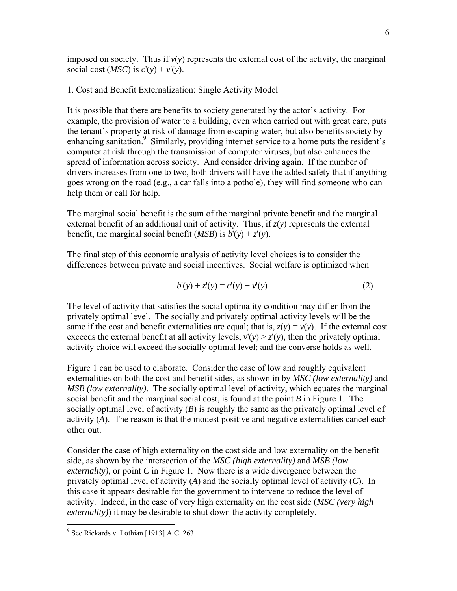imposed on society. Thus if  $v(y)$  represents the external cost of the activity, the marginal social cost (*MSC*) is  $c'(y) + v'(y)$ .

## 1. Cost and Benefit Externalization: Single Activity Model

It is possible that there are benefits to society generated by the actor's activity. For example, the provision of water to a building, even when carried out with great care, puts the tenant's property at risk of damage from escaping water, but also benefits society by enhancing sanitation.<sup>9</sup> Similarly, providing internet service to a home puts the resident's computer at risk through the transmission of computer viruses, but also enhances the spread of information across society. And consider driving again. If the number of drivers increases from one to two, both drivers will have the added safety that if anything goes wrong on the road (e.g., a car falls into a pothole), they will find someone who can help them or call for help.

The marginal social benefit is the sum of the marginal private benefit and the marginal external benefit of an additional unit of activity. Thus, if *z*(*y*) represents the external benefit, the marginal social benefit (*MSB*) is  $b'(y) + z'(y)$ .

The final step of this economic analysis of activity level choices is to consider the differences between private and social incentives. Social welfare is optimized when

$$
b'(y) + z'(y) = c'(y) + v'(y) .
$$
 (2)

The level of activity that satisfies the social optimality condition may differ from the privately optimal level. The socially and privately optimal activity levels will be the same if the cost and benefit externalities are equal; that is,  $z(y) = v(y)$ . If the external cost exceeds the external benefit at all activity levels,  $v'(y) > z'(y)$ , then the privately optimal activity choice will exceed the socially optimal level; and the converse holds as well.

Figure 1 can be used to elaborate. Consider the case of low and roughly equivalent externalities on both the cost and benefit sides, as shown in by *MSC (low externality)* and *MSB (low externality)*. The socially optimal level of activity, which equates the marginal social benefit and the marginal social cost, is found at the point *B* in Figure 1. The socially optimal level of activity (*B*) is roughly the same as the privately optimal level of activity (*A*). The reason is that the modest positive and negative externalities cancel each other out.

Consider the case of high externality on the cost side and low externality on the benefit side, as shown by the intersection of the *MSC (high externality)* and *MSB (low externality)*, or point *C* in Figure 1. Now there is a wide divergence between the privately optimal level of activity (*A*) and the socially optimal level of activity (*C*). In this case it appears desirable for the government to intervene to reduce the level of activity. Indeed, in the case of very high externality on the cost side (*MSC (very high externality)*) it may be desirable to shut down the activity completely.

<sup>9&</sup>lt;br>
9 See Rickards v. Lothian [1913] A.C. 263.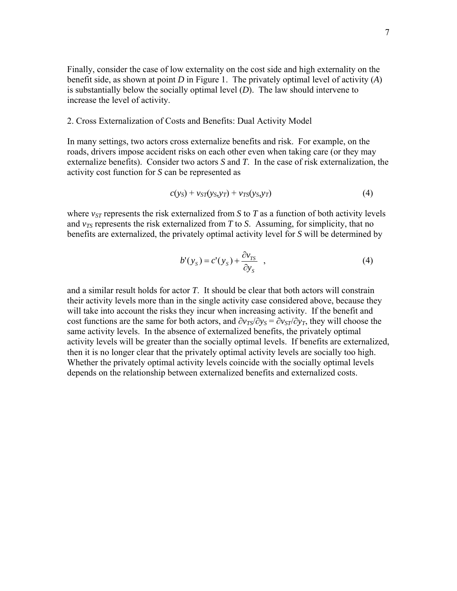Finally, consider the case of low externality on the cost side and high externality on the benefit side, as shown at point *D* in Figure 1. The privately optimal level of activity (*A*) is substantially below the socially optimal level (*D*). The law should intervene to increase the level of activity.

#### 2. Cross Externalization of Costs and Benefits: Dual Activity Model

In many settings, two actors cross externalize benefits and risk. For example, on the roads, drivers impose accident risks on each other even when taking care (or they may externalize benefits). Consider two actors *S* and *T*. In the case of risk externalization, the activity cost function for *S* can be represented as

$$
c(y_S) + v_{ST}(y_S, y_T) + v_{TS}(y_S, y_T)
$$
 (4)

where  $v_{ST}$  represents the risk externalized from *S* to *T* as a function of both activity levels and  $v_{TS}$  represents the risk externalized from *T* to *S*. Assuming, for simplicity, that no benefits are externalized, the privately optimal activity level for *S* will be determined by

$$
b'(y_s) = c'(y_s) + \frac{\partial v_{TS}}{\partial y_s} \quad , \tag{4}
$$

and a similar result holds for actor *T*. It should be clear that both actors will constrain their activity levels more than in the single activity case considered above, because they will take into account the risks they incur when increasing activity. If the benefit and cost functions are the same for both actors, and  $\partial v_{TS}/\partial y_S = \partial v_{ST}/\partial y_T$ , they will choose the same activity levels. In the absence of externalized benefits, the privately optimal activity levels will be greater than the socially optimal levels. If benefits are externalized, then it is no longer clear that the privately optimal activity levels are socially too high. Whether the privately optimal activity levels coincide with the socially optimal levels depends on the relationship between externalized benefits and externalized costs.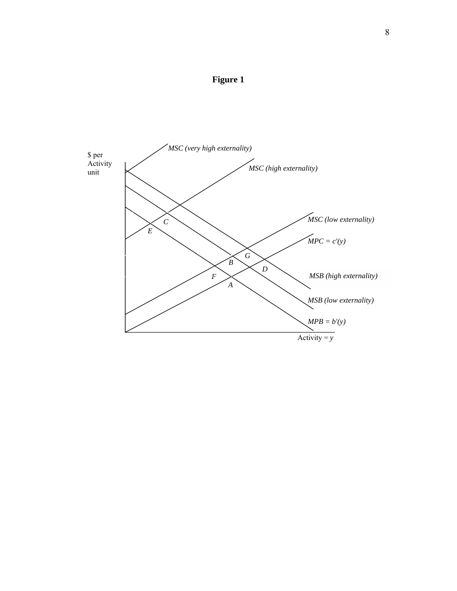## **Figure 1**

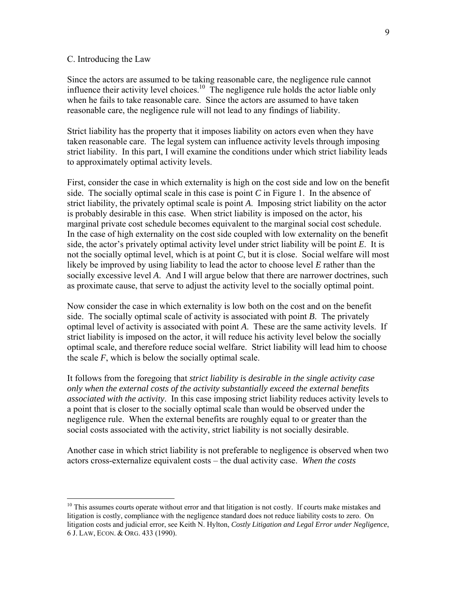#### C. Introducing the Law

<u>.</u>

Since the actors are assumed to be taking reasonable care, the negligence rule cannot influence their activity level choices.<sup>10</sup> The negligence rule holds the actor liable only when he fails to take reasonable care. Since the actors are assumed to have taken reasonable care, the negligence rule will not lead to any findings of liability.

Strict liability has the property that it imposes liability on actors even when they have taken reasonable care. The legal system can influence activity levels through imposing strict liability. In this part, I will examine the conditions under which strict liability leads to approximately optimal activity levels.

First, consider the case in which externality is high on the cost side and low on the benefit side. The socially optimal scale in this case is point *C* in Figure 1. In the absence of strict liability, the privately optimal scale is point *A*. Imposing strict liability on the actor is probably desirable in this case. When strict liability is imposed on the actor, his marginal private cost schedule becomes equivalent to the marginal social cost schedule. In the case of high externality on the cost side coupled with low externality on the benefit side, the actor's privately optimal activity level under strict liability will be point *E*. It is not the socially optimal level, which is at point *C*, but it is close. Social welfare will most likely be improved by using liability to lead the actor to choose level *E* rather than the socially excessive level *A*. And I will argue below that there are narrower doctrines, such as proximate cause, that serve to adjust the activity level to the socially optimal point.

Now consider the case in which externality is low both on the cost and on the benefit side. The socially optimal scale of activity is associated with point *B*. The privately optimal level of activity is associated with point *A*. These are the same activity levels. If strict liability is imposed on the actor, it will reduce his activity level below the socially optimal scale, and therefore reduce social welfare. Strict liability will lead him to choose the scale *F*, which is below the socially optimal scale.

It follows from the foregoing that *strict liability is desirable in the single activity case only when the external costs of the activity substantially exceed the external benefits associated with the activity*. In this case imposing strict liability reduces activity levels to a point that is closer to the socially optimal scale than would be observed under the negligence rule. When the external benefits are roughly equal to or greater than the social costs associated with the activity, strict liability is not socially desirable.

Another case in which strict liability is not preferable to negligence is observed when two actors cross-externalize equivalent costs – the dual activity case. *When the costs* 

 $10$  This assumes courts operate without error and that litigation is not costly. If courts make mistakes and litigation is costly, compliance with the negligence standard does not reduce liability costs to zero. On litigation costs and judicial error, see Keith N. Hylton, *Costly Litigation and Legal Error under Negligence*, 6 J. LAW, ECON. & ORG. 433 (1990).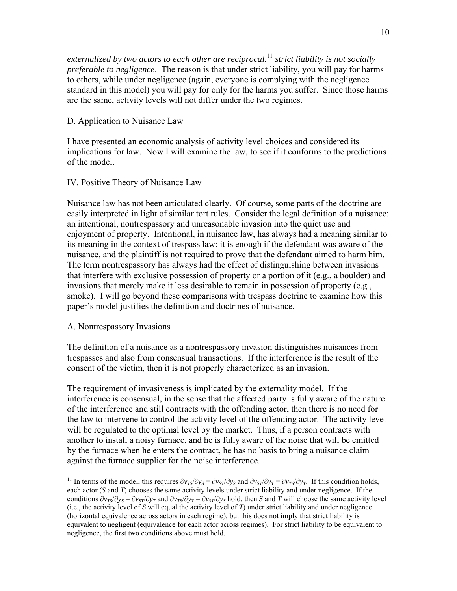*externalized by two actors to each other are reciprocal*, <sup>11</sup> *strict liability is not socially preferable to negligence*. The reason is that under strict liability, you will pay for harms to others, while under negligence (again, everyone is complying with the negligence standard in this model) you will pay for only for the harms you suffer. Since those harms are the same, activity levels will not differ under the two regimes.

### D. Application to Nuisance Law

I have presented an economic analysis of activity level choices and considered its implications for law. Now I will examine the law, to see if it conforms to the predictions of the model.

#### IV. Positive Theory of Nuisance Law

Nuisance law has not been articulated clearly. Of course, some parts of the doctrine are easily interpreted in light of similar tort rules. Consider the legal definition of a nuisance: an intentional, nontrespassory and unreasonable invasion into the quiet use and enjoyment of property. Intentional, in nuisance law, has always had a meaning similar to its meaning in the context of trespass law: it is enough if the defendant was aware of the nuisance, and the plaintiff is not required to prove that the defendant aimed to harm him. The term nontrespassory has always had the effect of distinguishing between invasions that interfere with exclusive possession of property or a portion of it (e.g., a boulder) and invasions that merely make it less desirable to remain in possession of property (e.g., smoke). I will go beyond these comparisons with trespass doctrine to examine how this paper's model justifies the definition and doctrines of nuisance.

#### A. Nontrespassory Invasions

 $\overline{a}$ 

The definition of a nuisance as a nontrespassory invasion distinguishes nuisances from trespasses and also from consensual transactions. If the interference is the result of the consent of the victim, then it is not properly characterized as an invasion.

The requirement of invasiveness is implicated by the externality model. If the interference is consensual, in the sense that the affected party is fully aware of the nature of the interference and still contracts with the offending actor, then there is no need for the law to intervene to control the activity level of the offending actor. The activity level will be regulated to the optimal level by the market. Thus, if a person contracts with another to install a noisy furnace, and he is fully aware of the noise that will be emitted by the furnace when he enters the contract, he has no basis to bring a nuisance claim against the furnace supplier for the noise interference.

<sup>&</sup>lt;sup>11</sup> In terms of the model, this requires  $\partial v_{TS}/\partial y_S = \partial v_{ST}/\partial y_S$  and  $\partial v_{ST}/\partial y_T = \partial v_{TS}/\partial y_T$ . If this condition holds, each actor (*S* and *T*) chooses the same activity levels under strict liability and under negligence. If the conditions  $\partial v_{TS}/\partial y_S = \partial v_{ST}/\partial y_T$  and  $\partial v_{TS}/\partial y_T = \partial v_{ST}/\partial y_S$  hold, then *S* and *T* will choose the same activity level (i.e., the activity level of *S* will equal the activity level of *T*) under strict liability and under negligence (horizontal equivalence across actors in each regime), but this does not imply that strict liability is equivalent to negligent (equivalence for each actor across regimes). For strict liability to be equivalent to negligence, the first two conditions above must hold.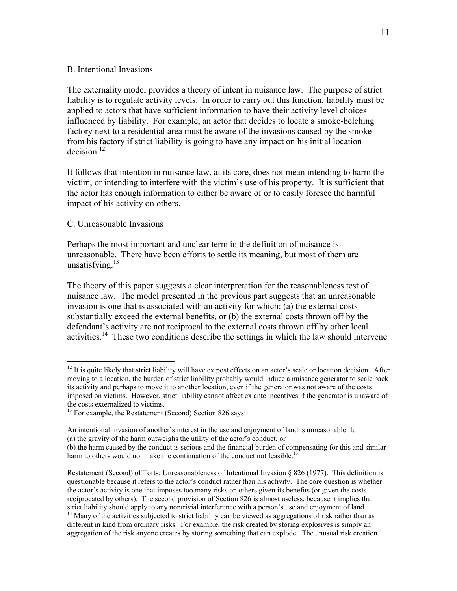#### B. Intentional Invasions

The externality model provides a theory of intent in nuisance law. The purpose of strict liability is to regulate activity levels. In order to carry out this function, liability must be applied to actors that have sufficient information to have their activity level choices influenced by liability. For example, an actor that decides to locate a smoke-belching factory next to a residential area must be aware of the invasions caused by the smoke from his factory if strict liability is going to have any impact on his initial location  $decision$ <sup>12</sup>

It follows that intention in nuisance law, at its core, does not mean intending to harm the victim, or intending to interfere with the victim's use of his property. It is sufficient that the actor has enough information to either be aware of or to easily foresee the harmful impact of his activity on others.

#### C. Unreasonable Invasions

1

Perhaps the most important and unclear term in the definition of nuisance is unreasonable. There have been efforts to settle its meaning, but most of them are unsatisfying. $13$ 

The theory of this paper suggests a clear interpretation for the reasonableness test of nuisance law. The model presented in the previous part suggests that an unreasonable invasion is one that is associated with an activity for which: (a) the external costs substantially exceed the external benefits, or (b) the external costs thrown off by the defendant's activity are not reciprocal to the external costs thrown off by other local activities.<sup>14</sup> These two conditions describe the settings in which the law should intervene

(a) the gravity of the harm outweighs the utility of the actor's conduct, or

 $12$  It is quite likely that strict liability will have ex post effects on an actor's scale or location decision. After moving to a location, the burden of strict liability probably would induce a nuisance generator to scale back its activity and perhaps to move it to another location, even if the generator was not aware of the costs imposed on victims. However, strict liability cannot affect ex ante incentives if the generator is unaware of the costs externalized to victims.

<sup>&</sup>lt;sup>13</sup> For example, the Restatement (Second) Section 826 says:

An intentional invasion of another's interest in the use and enjoyment of land is unreasonable if:

<sup>(</sup>b) the harm caused by the conduct is serious and the financial burden of compensating for this and similar harm to others would not make the continuation of the conduct not feasible.<sup>13</sup>

Restatement (Second) of Torts: Unreasonableness of Intentional Invasion § 826 (1977). This definition is questionable because it refers to the actor's conduct rather than his activity. The core question is whether the actor's activity is one that imposes too many risks on others given its benefits (or given the costs reciprocated by others). The second provision of Section 826 is almost useless, because it implies that strict liability should apply to any nontrivial interference with a person's use and enjoyment of land.

<sup>&</sup>lt;sup>14</sup> Many of the activities subjected to strict liability can be viewed as aggregations of risk rather than as different in kind from ordinary risks. For example, the risk created by storing explosives is simply an aggregation of the risk anyone creates by storing something that can explode. The unusual risk creation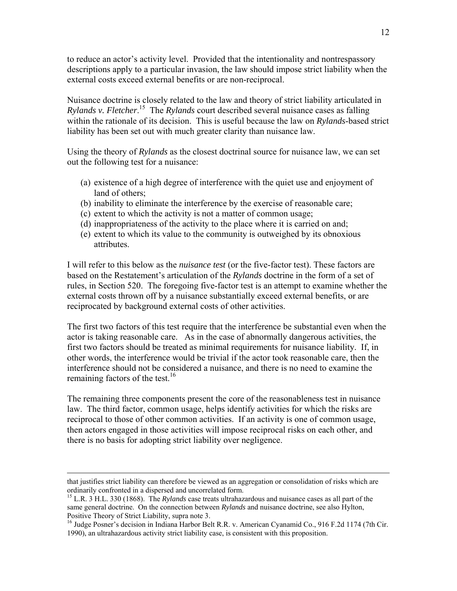to reduce an actor's activity level. Provided that the intentionality and nontrespassory descriptions apply to a particular invasion, the law should impose strict liability when the external costs exceed external benefits or are non-reciprocal.

Nuisance doctrine is closely related to the law and theory of strict liability articulated in *Rylands v. Fletcher*. 15 The *Rylands* court described several nuisance cases as falling within the rationale of its decision. This is useful because the law on *Rylands*-based strict liability has been set out with much greater clarity than nuisance law.

Using the theory of *Rylands* as the closest doctrinal source for nuisance law, we can set out the following test for a nuisance:

- (a) existence of a high degree of interference with the quiet use and enjoyment of land of others;
- (b) inability to eliminate the interference by the exercise of reasonable care;
- (c) extent to which the activity is not a matter of common usage;
- (d) inappropriateness of the activity to the place where it is carried on and;
- (e) extent to which its value to the community is outweighed by its obnoxious attributes.

I will refer to this below as the *nuisance test* (or the five-factor test). These factors are based on the Restatement's articulation of the *Rylands* doctrine in the form of a set of rules, in Section 520. The foregoing five-factor test is an attempt to examine whether the external costs thrown off by a nuisance substantially exceed external benefits, or are reciprocated by background external costs of other activities.

The first two factors of this test require that the interference be substantial even when the actor is taking reasonable care. As in the case of abnormally dangerous activities, the first two factors should be treated as minimal requirements for nuisance liability. If, in other words, the interference would be trivial if the actor took reasonable care, then the interference should not be considered a nuisance, and there is no need to examine the remaining factors of the test.<sup>16</sup>

The remaining three components present the core of the reasonableness test in nuisance law. The third factor, common usage, helps identify activities for which the risks are reciprocal to those of other common activities. If an activity is one of common usage, then actors engaged in those activities will impose reciprocal risks on each other, and there is no basis for adopting strict liability over negligence.

that justifies strict liability can therefore be viewed as an aggregation or consolidation of risks which are ordinarily confronted in a dispersed and uncorrelated form.

<sup>&</sup>lt;sup>15</sup> L.R. 3 H.L. 330 (1868). The *Rylands* case treats ultrahazardous and nuisance cases as all part of the same general doctrine. On the connection between *Rylands* and nuisance doctrine, see also Hylton, Positive Theory of Strict Liability, supra note 3.

<sup>&</sup>lt;sup>16</sup> Judge Posner's decision in Indiana Harbor Belt R.R. v. American Cyanamid Co., 916 F.2d 1174 (7th Cir. 1990), an ultrahazardous activity strict liability case, is consistent with this proposition.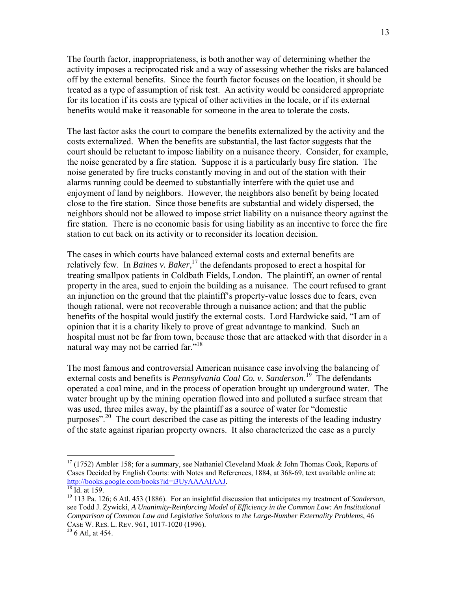The fourth factor, inappropriateness, is both another way of determining whether the activity imposes a reciprocated risk and a way of assessing whether the risks are balanced off by the external benefits. Since the fourth factor focuses on the location, it should be treated as a type of assumption of risk test. An activity would be considered appropriate for its location if its costs are typical of other activities in the locale, or if its external benefits would make it reasonable for someone in the area to tolerate the costs.

The last factor asks the court to compare the benefits externalized by the activity and the costs externalized. When the benefits are substantial, the last factor suggests that the court should be reluctant to impose liability on a nuisance theory. Consider, for example, the noise generated by a fire station. Suppose it is a particularly busy fire station. The noise generated by fire trucks constantly moving in and out of the station with their alarms running could be deemed to substantially interfere with the quiet use and enjoyment of land by neighbors. However, the neighbors also benefit by being located close to the fire station. Since those benefits are substantial and widely dispersed, the neighbors should not be allowed to impose strict liability on a nuisance theory against the fire station. There is no economic basis for using liability as an incentive to force the fire station to cut back on its activity or to reconsider its location decision.

The cases in which courts have balanced external costs and external benefits are relatively few. In *Baines v. Baker*, 17 the defendants proposed to erect a hospital for treating smallpox patients in Coldbath Fields, London. The plaintiff, an owner of rental property in the area, sued to enjoin the building as a nuisance. The court refused to grant an injunction on the ground that the plaintiff's property-value losses due to fears, even though rational, were not recoverable through a nuisance action; and that the public benefits of the hospital would justify the external costs. Lord Hardwicke said, "I am of opinion that it is a charity likely to prove of great advantage to mankind. Such an hospital must not be far from town, because those that are attacked with that disorder in a natural way may not be carried far."<sup>18</sup>

The most famous and controversial American nuisance case involving the balancing of external costs and benefits is *Pennsylvania Coal Co. v. Sanderson*. 19 The defendants operated a coal mine, and in the process of operation brought up underground water. The water brought up by the mining operation flowed into and polluted a surface stream that was used, three miles away, by the plaintiff as a source of water for "domestic purposes".20 The court described the case as pitting the interests of the leading industry of the state against riparian property owners. It also characterized the case as a purely

1

 $17$  (1752) Ambler 158; for a summary, see Nathaniel Cleveland Moak & John Thomas Cook, Reports of Cases Decided by English Courts: with Notes and References, 1884, at 368-69, text available online at: http://books.google.com/books?id=i3UyAAAAIAAJ.<sup>18</sup> Id. at 159.

<sup>19 113</sup> Pa. 126; 6 Atl. 453 (1886). For an insightful discussion that anticipates my treatment of *Sanderson*, see Todd J. Zywicki, *A Unanimity-Reinforcing Model of Efficiency in the Common Law: An Institutional Comparison of Common Law and Legislative Solutions to the Large-Number Externality Problems*, 46 CASE W. RES. L. REV. 961, 1017-1020 (1996).<br><sup>20</sup> 6 Atl, at 454.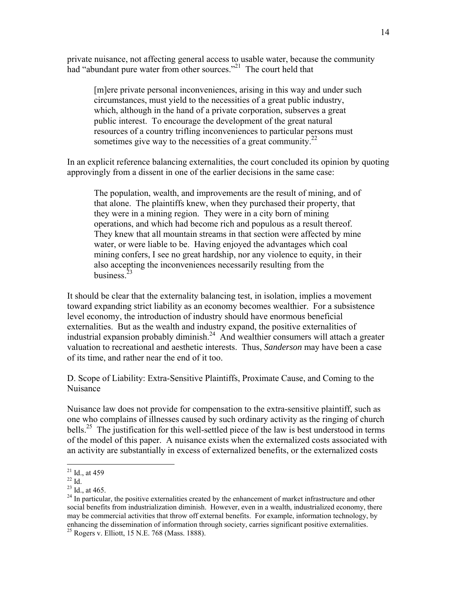private nuisance, not affecting general access to usable water, because the community had "abundant pure water from other sources."<sup>21</sup> The court held that

[m]ere private personal inconveniences, arising in this way and under such circumstances, must yield to the necessities of a great public industry, which, although in the hand of a private corporation, subserves a great public interest. To encourage the development of the great natural resources of a country trifling inconveniences to particular persons must sometimes give way to the necessities of a great community.<sup>22</sup>

In an explicit reference balancing externalities, the court concluded its opinion by quoting approvingly from a dissent in one of the earlier decisions in the same case:

The population, wealth, and improvements are the result of mining, and of that alone. The plaintiffs knew, when they purchased their property, that they were in a mining region. They were in a city born of mining operations, and which had become rich and populous as a result thereof. They knew that all mountain streams in that section were affected by mine water, or were liable to be. Having enjoyed the advantages which coal mining confers, I see no great hardship, nor any violence to equity, in their also accepting the inconveniences necessarily resulting from the business $^{23}$ 

It should be clear that the externality balancing test, in isolation, implies a movement toward expanding strict liability as an economy becomes wealthier. For a subsistence level economy, the introduction of industry should have enormous beneficial externalities. But as the wealth and industry expand, the positive externalities of industrial expansion probably diminish.<sup>24</sup> And wealthier consumers will attach a greater valuation to recreational and aesthetic interests. Thus, *Sanderson* may have been a case of its time, and rather near the end of it too.

D. Scope of Liability: Extra-Sensitive Plaintiffs, Proximate Cause, and Coming to the Nuisance

Nuisance law does not provide for compensation to the extra-sensitive plaintiff, such as one who complains of illnesses caused by such ordinary activity as the ringing of church bells.<sup>25</sup> The justification for this well-settled piece of the law is best understood in terms of the model of this paper. A nuisance exists when the externalized costs associated with an activity are substantially in excess of externalized benefits, or the externalized costs

 $21$  Id., at 459

 $^{22}$  Id.

 $^{23}$  Id., at 465.

 $24$  In particular, the positive externalities created by the enhancement of market infrastructure and other social benefits from industrialization diminish. However, even in a wealth, industrialized economy, there may be commercial activities that throw off external benefits. For example, information technology, by enhancing the dissemination of information through society, carries significant positive externalities.  $^{25}$  Rogers v. Elliott, 15 N.E. 768 (Mass. 1888).

<sup>14</sup>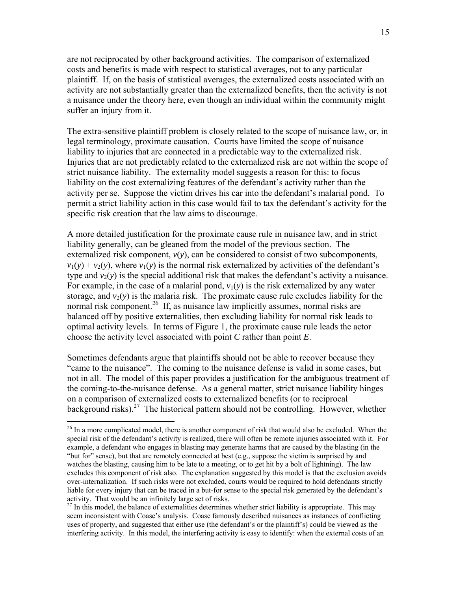are not reciprocated by other background activities. The comparison of externalized costs and benefits is made with respect to statistical averages, not to any particular plaintiff. If, on the basis of statistical averages, the externalized costs associated with an activity are not substantially greater than the externalized benefits, then the activity is not a nuisance under the theory here, even though an individual within the community might suffer an injury from it.

The extra-sensitive plaintiff problem is closely related to the scope of nuisance law, or, in legal terminology, proximate causation. Courts have limited the scope of nuisance liability to injuries that are connected in a predictable way to the externalized risk. Injuries that are not predictably related to the externalized risk are not within the scope of strict nuisance liability. The externality model suggests a reason for this: to focus liability on the cost externalizing features of the defendant's activity rather than the activity per se. Suppose the victim drives his car into the defendant's malarial pond. To permit a strict liability action in this case would fail to tax the defendant's activity for the specific risk creation that the law aims to discourage.

A more detailed justification for the proximate cause rule in nuisance law, and in strict liability generally, can be gleaned from the model of the previous section. The externalized risk component,  $v(y)$ , can be considered to consist of two subcomponents,  $v_1(y) + v_2(y)$ , where  $v_1(y)$  is the normal risk externalized by activities of the defendant's type and  $v_2(y)$  is the special additional risk that makes the defendant's activity a nuisance. For example, in the case of a malarial pond,  $v_1(y)$  is the risk externalized by any water storage, and  $v_2(y)$  is the malaria risk. The proximate cause rule excludes liability for the normal risk component.<sup>26</sup> If, as nuisance law implicitly assumes, normal risks are balanced off by positive externalities, then excluding liability for normal risk leads to optimal activity levels. In terms of Figure 1, the proximate cause rule leads the actor choose the activity level associated with point *C* rather than point *E*.

Sometimes defendants argue that plaintiffs should not be able to recover because they "came to the nuisance". The coming to the nuisance defense is valid in some cases, but not in all. The model of this paper provides a justification for the ambiguous treatment of the coming-to-the-nuisance defense. As a general matter, strict nuisance liability hinges on a comparison of externalized costs to externalized benefits (or to reciprocal background risks).<sup>27</sup> The historical pattern should not be controlling. However, whether

<sup>&</sup>lt;sup>26</sup> In a more complicated model, there is another component of risk that would also be excluded. When the special risk of the defendant's activity is realized, there will often be remote injuries associated with it. For example, a defendant who engages in blasting may generate harms that are caused by the blasting (in the "but for" sense), but that are remotely connected at best (e.g., suppose the victim is surprised by and watches the blasting, causing him to be late to a meeting, or to get hit by a bolt of lightning). The law excludes this component of risk also. The explanation suggested by this model is that the exclusion avoids over-internalization. If such risks were not excluded, courts would be required to hold defendants strictly liable for every injury that can be traced in a but-for sense to the special risk generated by the defendant's activity. That would be an infinitely large set of risks.

 $^{27}$  In this model, the balance of externalities determines whether strict liability is appropriate. This may seem inconsistent with Coase's analysis. Coase famously described nuisances as instances of conflicting uses of property, and suggested that either use (the defendant's or the plaintiff's) could be viewed as the interfering activity. In this model, the interfering activity is easy to identify: when the external costs of an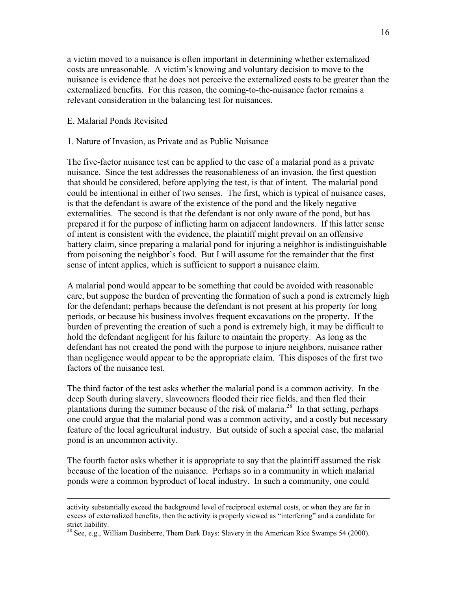a victim moved to a nuisance is often important in determining whether externalized costs are unreasonable. A victim's knowing and voluntary decision to move to the nuisance is evidence that he does not perceive the externalized costs to be greater than the externalized benefits. For this reason, the coming-to-the-nuisance factor remains a relevant consideration in the balancing test for nuisances.

#### E. Malarial Ponds Revisited

#### 1. Nature of Invasion, as Private and as Public Nuisance

The five-factor nuisance test can be applied to the case of a malarial pond as a private nuisance. Since the test addresses the reasonableness of an invasion, the first question that should be considered, before applying the test, is that of intent. The malarial pond could be intentional in either of two senses. The first, which is typical of nuisance cases, is that the defendant is aware of the existence of the pond and the likely negative externalities. The second is that the defendant is not only aware of the pond, but has prepared it for the purpose of inflicting harm on adjacent landowners. If this latter sense of intent is consistent with the evidence, the plaintiff might prevail on an offensive battery claim, since preparing a malarial pond for injuring a neighbor is indistinguishable from poisoning the neighbor's food. But I will assume for the remainder that the first sense of intent applies, which is sufficient to support a nuisance claim.

A malarial pond would appear to be something that could be avoided with reasonable care, but suppose the burden of preventing the formation of such a pond is extremely high for the defendant; perhaps because the defendant is not present at his property for long periods, or because his business involves frequent excavations on the property. If the burden of preventing the creation of such a pond is extremely high, it may be difficult to hold the defendant negligent for his failure to maintain the property. As long as the defendant has not created the pond with the purpose to injure neighbors, nuisance rather than negligence would appear to be the appropriate claim. This disposes of the first two factors of the nuisance test.

The third factor of the test asks whether the malarial pond is a common activity. In the deep South during slavery, slaveowners flooded their rice fields, and then fled their plantations during the summer because of the risk of malaria.<sup>28</sup> In that setting, perhaps one could argue that the malarial pond was a common activity, and a costly but necessary feature of the local agricultural industry. But outside of such a special case, the malarial pond is an uncommon activity.

The fourth factor asks whether it is appropriate to say that the plaintiff assumed the risk because of the location of the nuisance. Perhaps so in a community in which malarial ponds were a common byproduct of local industry. In such a community, one could

activity substantially exceed the background level of reciprocal external costs, or when they are far in excess of externalized benefits, then the activity is properly viewed as "interfering" and a candidate for strict liability.

 $28$  See, e.g., William Dusinberre, Them Dark Days: Slavery in the American Rice Swamps 54 (2000).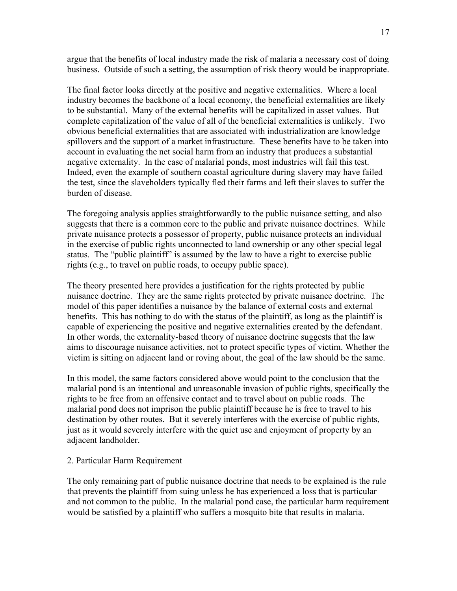argue that the benefits of local industry made the risk of malaria a necessary cost of doing business. Outside of such a setting, the assumption of risk theory would be inappropriate.

The final factor looks directly at the positive and negative externalities. Where a local industry becomes the backbone of a local economy, the beneficial externalities are likely to be substantial. Many of the external benefits will be capitalized in asset values. But complete capitalization of the value of all of the beneficial externalities is unlikely. Two obvious beneficial externalities that are associated with industrialization are knowledge spillovers and the support of a market infrastructure. These benefits have to be taken into account in evaluating the net social harm from an industry that produces a substantial negative externality. In the case of malarial ponds, most industries will fail this test. Indeed, even the example of southern coastal agriculture during slavery may have failed the test, since the slaveholders typically fled their farms and left their slaves to suffer the burden of disease.

The foregoing analysis applies straightforwardly to the public nuisance setting, and also suggests that there is a common core to the public and private nuisance doctrines. While private nuisance protects a possessor of property, public nuisance protects an individual in the exercise of public rights unconnected to land ownership or any other special legal status. The "public plaintiff" is assumed by the law to have a right to exercise public rights (e.g., to travel on public roads, to occupy public space).

The theory presented here provides a justification for the rights protected by public nuisance doctrine. They are the same rights protected by private nuisance doctrine. The model of this paper identifies a nuisance by the balance of external costs and external benefits. This has nothing to do with the status of the plaintiff, as long as the plaintiff is capable of experiencing the positive and negative externalities created by the defendant. In other words, the externality-based theory of nuisance doctrine suggests that the law aims to discourage nuisance activities, not to protect specific types of victim. Whether the victim is sitting on adjacent land or roving about, the goal of the law should be the same.

In this model, the same factors considered above would point to the conclusion that the malarial pond is an intentional and unreasonable invasion of public rights, specifically the rights to be free from an offensive contact and to travel about on public roads. The malarial pond does not imprison the public plaintiff because he is free to travel to his destination by other routes. But it severely interferes with the exercise of public rights, just as it would severely interfere with the quiet use and enjoyment of property by an adjacent landholder.

## 2. Particular Harm Requirement

The only remaining part of public nuisance doctrine that needs to be explained is the rule that prevents the plaintiff from suing unless he has experienced a loss that is particular and not common to the public. In the malarial pond case, the particular harm requirement would be satisfied by a plaintiff who suffers a mosquito bite that results in malaria.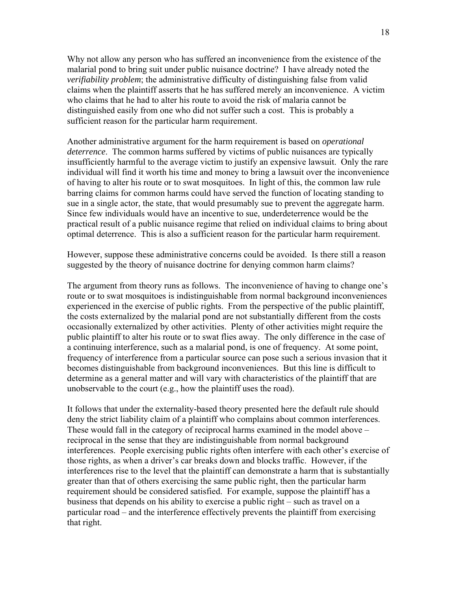Why not allow any person who has suffered an inconvenience from the existence of the malarial pond to bring suit under public nuisance doctrine? I have already noted the *verifiability problem*; the administrative difficulty of distinguishing false from valid claims when the plaintiff asserts that he has suffered merely an inconvenience. A victim who claims that he had to alter his route to avoid the risk of malaria cannot be distinguished easily from one who did not suffer such a cost. This is probably a sufficient reason for the particular harm requirement.

Another administrative argument for the harm requirement is based on *operational deterrence*. The common harms suffered by victims of public nuisances are typically insufficiently harmful to the average victim to justify an expensive lawsuit. Only the rare individual will find it worth his time and money to bring a lawsuit over the inconvenience of having to alter his route or to swat mosquitoes. In light of this, the common law rule barring claims for common harms could have served the function of locating standing to sue in a single actor, the state, that would presumably sue to prevent the aggregate harm. Since few individuals would have an incentive to sue, underdeterrence would be the practical result of a public nuisance regime that relied on individual claims to bring about optimal deterrence. This is also a sufficient reason for the particular harm requirement.

However, suppose these administrative concerns could be avoided. Is there still a reason suggested by the theory of nuisance doctrine for denying common harm claims?

The argument from theory runs as follows. The inconvenience of having to change one's route or to swat mosquitoes is indistinguishable from normal background inconveniences experienced in the exercise of public rights. From the perspective of the public plaintiff, the costs externalized by the malarial pond are not substantially different from the costs occasionally externalized by other activities. Plenty of other activities might require the public plaintiff to alter his route or to swat flies away. The only difference in the case of a continuing interference, such as a malarial pond, is one of frequency. At some point, frequency of interference from a particular source can pose such a serious invasion that it becomes distinguishable from background inconveniences. But this line is difficult to determine as a general matter and will vary with characteristics of the plaintiff that are unobservable to the court (e.g., how the plaintiff uses the road).

It follows that under the externality-based theory presented here the default rule should deny the strict liability claim of a plaintiff who complains about common interferences. These would fall in the category of reciprocal harms examined in the model above – reciprocal in the sense that they are indistinguishable from normal background interferences. People exercising public rights often interfere with each other's exercise of those rights, as when a driver's car breaks down and blocks traffic. However, if the interferences rise to the level that the plaintiff can demonstrate a harm that is substantially greater than that of others exercising the same public right, then the particular harm requirement should be considered satisfied. For example, suppose the plaintiff has a business that depends on his ability to exercise a public right – such as travel on a particular road – and the interference effectively prevents the plaintiff from exercising that right.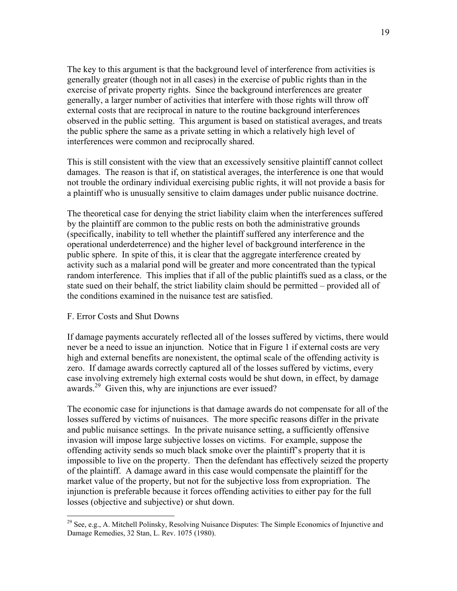The key to this argument is that the background level of interference from activities is generally greater (though not in all cases) in the exercise of public rights than in the exercise of private property rights. Since the background interferences are greater generally, a larger number of activities that interfere with those rights will throw off external costs that are reciprocal in nature to the routine background interferences observed in the public setting. This argument is based on statistical averages, and treats the public sphere the same as a private setting in which a relatively high level of interferences were common and reciprocally shared.

This is still consistent with the view that an excessively sensitive plaintiff cannot collect damages. The reason is that if, on statistical averages, the interference is one that would not trouble the ordinary individual exercising public rights, it will not provide a basis for a plaintiff who is unusually sensitive to claim damages under public nuisance doctrine.

The theoretical case for denying the strict liability claim when the interferences suffered by the plaintiff are common to the public rests on both the administrative grounds (specifically, inability to tell whether the plaintiff suffered any interference and the operational underdeterrence) and the higher level of background interference in the public sphere. In spite of this, it is clear that the aggregate interference created by activity such as a malarial pond will be greater and more concentrated than the typical random interference. This implies that if all of the public plaintiffs sued as a class, or the state sued on their behalf, the strict liability claim should be permitted – provided all of the conditions examined in the nuisance test are satisfied.

## F. Error Costs and Shut Downs

1

If damage payments accurately reflected all of the losses suffered by victims, there would never be a need to issue an injunction. Notice that in Figure 1 if external costs are very high and external benefits are nonexistent, the optimal scale of the offending activity is zero. If damage awards correctly captured all of the losses suffered by victims, every case involving extremely high external costs would be shut down, in effect, by damage awards.<sup>29</sup> Given this, why are injunctions are ever issued?

The economic case for injunctions is that damage awards do not compensate for all of the losses suffered by victims of nuisances. The more specific reasons differ in the private and public nuisance settings. In the private nuisance setting, a sufficiently offensive invasion will impose large subjective losses on victims. For example, suppose the offending activity sends so much black smoke over the plaintiff's property that it is impossible to live on the property. Then the defendant has effectively seized the property of the plaintiff. A damage award in this case would compensate the plaintiff for the market value of the property, but not for the subjective loss from expropriation. The injunction is preferable because it forces offending activities to either pay for the full losses (objective and subjective) or shut down.

 $29$  See, e.g., A. Mitchell Polinsky, Resolving Nuisance Disputes: The Simple Economics of Injunctive and Damage Remedies, 32 Stan, L. Rev. 1075 (1980).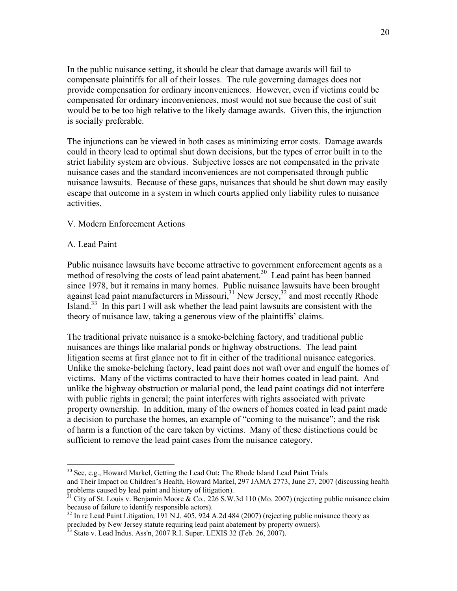In the public nuisance setting, it should be clear that damage awards will fail to compensate plaintiffs for all of their losses. The rule governing damages does not provide compensation for ordinary inconveniences. However, even if victims could be compensated for ordinary inconveniences, most would not sue because the cost of suit would be to be too high relative to the likely damage awards. Given this, the injunction is socially preferable.

The injunctions can be viewed in both cases as minimizing error costs. Damage awards could in theory lead to optimal shut down decisions, but the types of error built in to the strict liability system are obvious. Subjective losses are not compensated in the private nuisance cases and the standard inconveniences are not compensated through public nuisance lawsuits. Because of these gaps, nuisances that should be shut down may easily escape that outcome in a system in which courts applied only liability rules to nuisance activities.

#### V. Modern Enforcement Actions

#### A. Lead Paint

1

Public nuisance lawsuits have become attractive to government enforcement agents as a method of resolving the costs of lead paint abatement.<sup>30</sup> Lead paint has been banned since 1978, but it remains in many homes. Public nuisance lawsuits have been brought against lead paint manufacturers in Missouri, $31$  New Jersey,  $32$  and most recently Rhode Island.<sup>33</sup> In this part I will ask whether the lead paint lawsuits are consistent with the theory of nuisance law, taking a generous view of the plaintiffs' claims.

The traditional private nuisance is a smoke-belching factory, and traditional public nuisances are things like malarial ponds or highway obstructions. The lead paint litigation seems at first glance not to fit in either of the traditional nuisance categories. Unlike the smoke-belching factory, lead paint does not waft over and engulf the homes of victims. Many of the victims contracted to have their homes coated in lead paint. And unlike the highway obstruction or malarial pond, the lead paint coatings did not interfere with public rights in general; the paint interferes with rights associated with private property ownership. In addition, many of the owners of homes coated in lead paint made a decision to purchase the homes, an example of "coming to the nuisance"; and the risk of harm is a function of the care taken by victims. Many of these distinctions could be sufficient to remove the lead paint cases from the nuisance category.

<sup>30</sup> See, e.g., Howard Markel, Getting the Lead Out**:** The Rhode Island Lead Paint Trials and Their Impact on Children's Health, Howard Markel, 297 JAMA 2773, June 27, 2007 (discussing health problems caused by lead paint and history of litigation).

<sup>&</sup>lt;sup>31</sup> City of St. Louis v. Benjamin Moore & Co., 226 S.W.3d 110 (Mo. 2007) (rejecting public nuisance claim because of failure to identify responsible actors).

 $b<sup>32</sup>$  In re Lead Paint Litigation, 191 N.J. 405, 924 A.2d 484 (2007) (rejecting public nuisance theory as precluded by New Jersey statute requiring lead paint abatement by property owners).

 $33$  State v. Lead Indus. Ass'n, 2007 R.I. Super. LEXIS 32 (Feb. 26, 2007).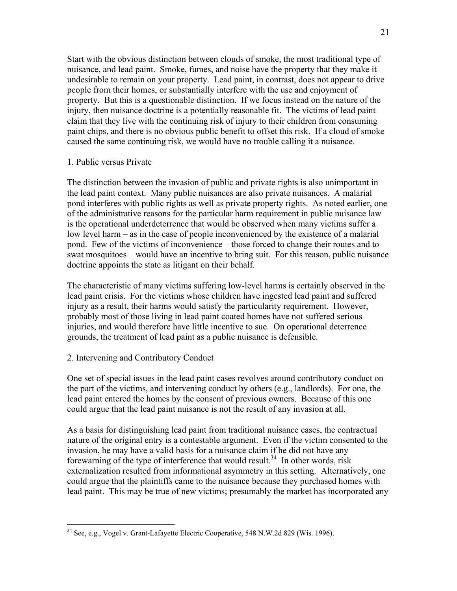Start with the obvious distinction between clouds of smoke, the most traditional type of nuisance, and lead paint. Smoke, fumes, and noise have the property that they make it undesirable to remain on your property. Lead paint, in contrast, does not appear to drive people from their homes, or substantially interfere with the use and enjoyment of property. But this is a questionable distinction. If we focus instead on the nature of the injury, then nuisance doctrine is a potentially reasonable fit. The victims of lead paint claim that they live with the continuing risk of injury to their children from consuming paint chips, and there is no obvious public benefit to offset this risk. If a cloud of smoke caused the same continuing risk, we would have no trouble calling it a nuisance.

## 1. Public versus Private

The distinction between the invasion of public and private rights is also unimportant in the lead paint context. Many public nuisances are also private nuisances. A malarial pond interferes with public rights as well as private property rights. As noted earlier, one of the administrative reasons for the particular harm requirement in public nuisance law is the operational underdeterrence that would be observed when many victims suffer a low level harm – as in the case of people inconvenienced by the existence of a malarial pond. Few of the victims of inconvenience – those forced to change their routes and to swat mosquitoes – would have an incentive to bring suit. For this reason, public nuisance doctrine appoints the state as litigant on their behalf.

The characteristic of many victims suffering low-level harms is certainly observed in the lead paint crisis. For the victims whose children have ingested lead paint and suffered injury as a result, their harms would satisfy the particularity requirement. However, probably most of those living in lead paint coated homes have not suffered serious injuries, and would therefore have little incentive to sue. On operational deterrence grounds, the treatment of lead paint as a public nuisance is defensible.

## 2. Intervening and Contributory Conduct

 $\overline{a}$ 

One set of special issues in the lead paint cases revolves around contributory conduct on the part of the victims, and intervening conduct by others (e.g., landlords). For one, the lead paint entered the homes by the consent of previous owners. Because of this one could argue that the lead paint nuisance is not the result of any invasion at all.

As a basis for distinguishing lead paint from traditional nuisance cases, the contractual nature of the original entry is a contestable argument. Even if the victim consented to the invasion, he may have a valid basis for a nuisance claim if he did not have any forewarning of the type of interference that would result.<sup>34</sup> In other words, risk externalization resulted from informational asymmetry in this setting. Alternatively, one could argue that the plaintiffs came to the nuisance because they purchased homes with lead paint. This may be true of new victims; presumably the market has incorporated any

<sup>34</sup> See, e.g., Vogel v. Grant-Lafayette Electric Cooperative, 548 N.W.2d 829 (Wis. 1996).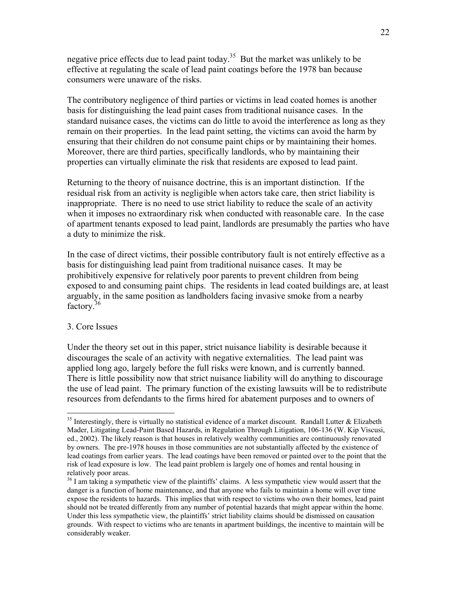negative price effects due to lead paint today.<sup>35</sup> But the market was unlikely to be effective at regulating the scale of lead paint coatings before the 1978 ban because consumers were unaware of the risks.

The contributory negligence of third parties or victims in lead coated homes is another basis for distinguishing the lead paint cases from traditional nuisance cases. In the standard nuisance cases, the victims can do little to avoid the interference as long as they remain on their properties. In the lead paint setting, the victims can avoid the harm by ensuring that their children do not consume paint chips or by maintaining their homes. Moreover, there are third parties, specifically landlords, who by maintaining their properties can virtually eliminate the risk that residents are exposed to lead paint.

Returning to the theory of nuisance doctrine, this is an important distinction. If the residual risk from an activity is negligible when actors take care, then strict liability is inappropriate. There is no need to use strict liability to reduce the scale of an activity when it imposes no extraordinary risk when conducted with reasonable care. In the case of apartment tenants exposed to lead paint, landlords are presumably the parties who have a duty to minimize the risk.

In the case of direct victims, their possible contributory fault is not entirely effective as a basis for distinguishing lead paint from traditional nuisance cases. It may be prohibitively expensive for relatively poor parents to prevent children from being exposed to and consuming paint chips. The residents in lead coated buildings are, at least arguably, in the same position as landholders facing invasive smoke from a nearby factory.36

#### 3. Core Issues

 $\overline{a}$ 

Under the theory set out in this paper, strict nuisance liability is desirable because it discourages the scale of an activity with negative externalities. The lead paint was applied long ago, largely before the full risks were known, and is currently banned. There is little possibility now that strict nuisance liability will do anything to discourage the use of lead paint. The primary function of the existing lawsuits will be to redistribute resources from defendants to the firms hired for abatement purposes and to owners of

<sup>&</sup>lt;sup>35</sup> Interestingly, there is virtually no statistical evidence of a market discount. Randall Lutter & Elizabeth Mader, Litigating Lead-Paint Based Hazards, in Regulation Through Litigation, 106-136 (W. Kip Viscusi, ed., 2002). The likely reason is that houses in relatively wealthy communities are continuously renovated by owners. The pre-1978 houses in those communities are not substantially affected by the existence of lead coatings from earlier years. The lead coatings have been removed or painted over to the point that the risk of lead exposure is low. The lead paint problem is largely one of homes and rental housing in relatively poor areas.

<sup>&</sup>lt;sup>36</sup> I am taking a sympathetic view of the plaintiffs' claims. A less sympathetic view would assert that the danger is a function of home maintenance, and that anyone who fails to maintain a home will over time expose the residents to hazards. This implies that with respect to victims who own their homes, lead paint should not be treated differently from any number of potential hazards that might appear within the home. Under this less sympathetic view, the plaintiffs' strict liability claims should be dismissed on causation grounds. With respect to victims who are tenants in apartment buildings, the incentive to maintain will be considerably weaker.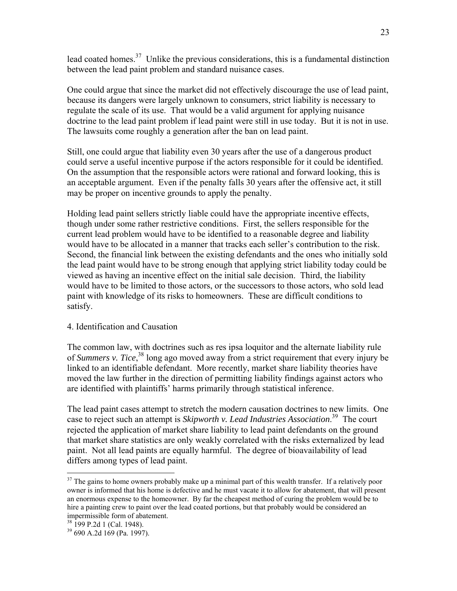lead coated homes.<sup>37</sup> Unlike the previous considerations, this is a fundamental distinction between the lead paint problem and standard nuisance cases.

One could argue that since the market did not effectively discourage the use of lead paint, because its dangers were largely unknown to consumers, strict liability is necessary to regulate the scale of its use. That would be a valid argument for applying nuisance doctrine to the lead paint problem if lead paint were still in use today. But it is not in use. The lawsuits come roughly a generation after the ban on lead paint.

Still, one could argue that liability even 30 years after the use of a dangerous product could serve a useful incentive purpose if the actors responsible for it could be identified. On the assumption that the responsible actors were rational and forward looking, this is an acceptable argument. Even if the penalty falls 30 years after the offensive act, it still may be proper on incentive grounds to apply the penalty.

Holding lead paint sellers strictly liable could have the appropriate incentive effects, though under some rather restrictive conditions. First, the sellers responsible for the current lead problem would have to be identified to a reasonable degree and liability would have to be allocated in a manner that tracks each seller's contribution to the risk. Second, the financial link between the existing defendants and the ones who initially sold the lead paint would have to be strong enough that applying strict liability today could be viewed as having an incentive effect on the initial sale decision. Third, the liability would have to be limited to those actors, or the successors to those actors, who sold lead paint with knowledge of its risks to homeowners. These are difficult conditions to satisfy.

## 4. Identification and Causation

The common law, with doctrines such as res ipsa loquitor and the alternate liability rule of *Summers v. Tice*, 38 long ago moved away from a strict requirement that every injury be linked to an identifiable defendant. More recently, market share liability theories have moved the law further in the direction of permitting liability findings against actors who are identified with plaintiffs' harms primarily through statistical inference.

The lead paint cases attempt to stretch the modern causation doctrines to new limits. One case to reject such an attempt is *Skipworth v. Lead Industries Association*. 39 The court rejected the application of market share liability to lead paint defendants on the ground that market share statistics are only weakly correlated with the risks externalized by lead paint. Not all lead paints are equally harmful. The degree of bioavailability of lead differs among types of lead paint.

 $37$  The gains to home owners probably make up a minimal part of this wealth transfer. If a relatively poor owner is informed that his home is defective and he must vacate it to allow for abatement, that will present an enormous expense to the homeowner. By far the cheapest method of curing the problem would be to hire a painting crew to paint over the lead coated portions, but that probably would be considered an impermissible form of abatement. 38 199 P.2d 1 (Cal. 1948).

<sup>39 690</sup> A.2d 169 (Pa. 1997).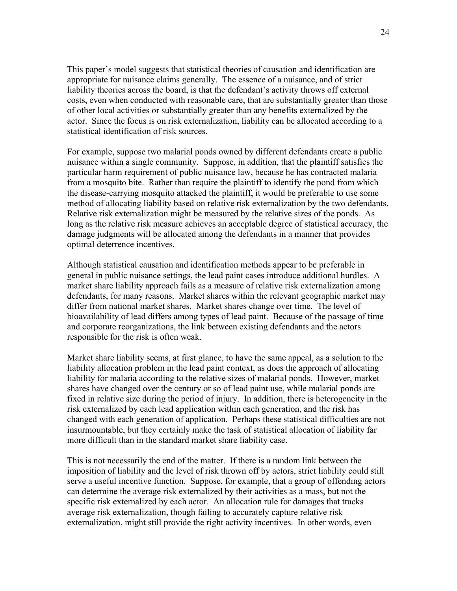This paper's model suggests that statistical theories of causation and identification are appropriate for nuisance claims generally. The essence of a nuisance, and of strict liability theories across the board, is that the defendant's activity throws off external costs, even when conducted with reasonable care, that are substantially greater than those of other local activities or substantially greater than any benefits externalized by the actor. Since the focus is on risk externalization, liability can be allocated according to a statistical identification of risk sources.

For example, suppose two malarial ponds owned by different defendants create a public nuisance within a single community. Suppose, in addition, that the plaintiff satisfies the particular harm requirement of public nuisance law, because he has contracted malaria from a mosquito bite. Rather than require the plaintiff to identify the pond from which the disease-carrying mosquito attacked the plaintiff, it would be preferable to use some method of allocating liability based on relative risk externalization by the two defendants. Relative risk externalization might be measured by the relative sizes of the ponds. As long as the relative risk measure achieves an acceptable degree of statistical accuracy, the damage judgments will be allocated among the defendants in a manner that provides optimal deterrence incentives.

Although statistical causation and identification methods appear to be preferable in general in public nuisance settings, the lead paint cases introduce additional hurdles. A market share liability approach fails as a measure of relative risk externalization among defendants, for many reasons. Market shares within the relevant geographic market may differ from national market shares. Market shares change over time. The level of bioavailability of lead differs among types of lead paint. Because of the passage of time and corporate reorganizations, the link between existing defendants and the actors responsible for the risk is often weak.

Market share liability seems, at first glance, to have the same appeal, as a solution to the liability allocation problem in the lead paint context, as does the approach of allocating liability for malaria according to the relative sizes of malarial ponds. However, market shares have changed over the century or so of lead paint use, while malarial ponds are fixed in relative size during the period of injury. In addition, there is heterogeneity in the risk externalized by each lead application within each generation, and the risk has changed with each generation of application. Perhaps these statistical difficulties are not insurmountable, but they certainly make the task of statistical allocation of liability far more difficult than in the standard market share liability case.

This is not necessarily the end of the matter. If there is a random link between the imposition of liability and the level of risk thrown off by actors, strict liability could still serve a useful incentive function. Suppose, for example, that a group of offending actors can determine the average risk externalized by their activities as a mass, but not the specific risk externalized by each actor. An allocation rule for damages that tracks average risk externalization, though failing to accurately capture relative risk externalization, might still provide the right activity incentives. In other words, even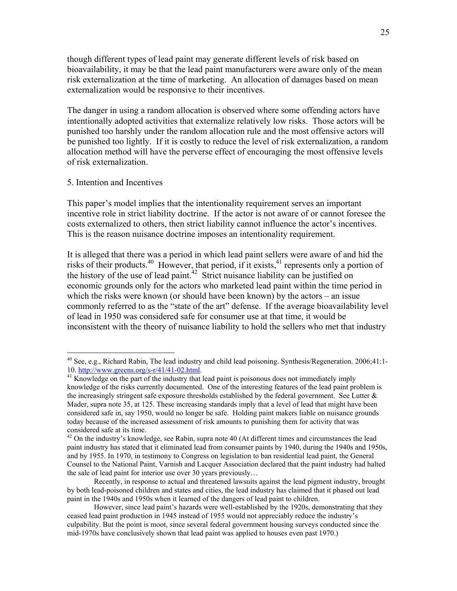though different types of lead paint may generate different levels of risk based on bioavailability, it may be that the lead paint manufacturers were aware only of the mean risk externalization at the time of marketing. An allocation of damages based on mean externalization would be responsive to their incentives.

The danger in using a random allocation is observed where some offending actors have intentionally adopted activities that externalize relatively low risks. Those actors will be punished too harshly under the random allocation rule and the most offensive actors will be punished too lightly. If it is costly to reduce the level of risk externalization, a random allocation method will have the perverse effect of encouraging the most offensive levels of risk externalization.

#### 5. Intention and Incentives

 $\overline{a}$ 

This paper's model implies that the intentionality requirement serves an important incentive role in strict liability doctrine. If the actor is not aware of or cannot foresee the costs externalized to others, then strict liability cannot influence the actor's incentives. This is the reason nuisance doctrine imposes an intentionality requirement.

It is alleged that there was a period in which lead paint sellers were aware of and hid the risks of their products.<sup>40</sup> However, that period, if it exists,  $41$  represents only a portion of the history of the use of lead paint.<sup>42</sup> Strict nuisance liability can be justified on economic grounds only for the actors who marketed lead paint within the time period in which the risks were known (or should have been known) by the actors – an issue commonly referred to as the "state of the art" defense. If the average bioavailability level of lead in 1950 was considered safe for consumer use at that time, it would be inconsistent with the theory of nuisance liability to hold the sellers who met that industry

<sup>&</sup>lt;sup>40</sup> See, e.g., Richard Rabin, The lead industry and child lead poisoning. Synthesis/Regeneration. 2006;41:1-10. http://www.greens.org/s-r/41/41-02.html.

<sup>&</sup>lt;sup>41</sup> Knowledge on the part of the industry that lead paint is poisonous does not immediately imply knowledge of the risks currently documented. One of the interesting features of the lead paint problem is the increasingly stringent safe exposure thresholds established by the federal government. See Lutter  $\&$ Mader, supra note 35, at 125. These increasing standards imply that a level of lead that might have been considered safe in, say 1950, would no longer be safe. Holding paint makers liable on nuisance grounds today because of the increased assessment of risk amounts to punishing them for activity that was considered safe at its time.

 $42$  On the industry's knowledge, see Rabin, supra note 40 (At different times and circumstances the lead paint industry has stated that it eliminated lead from consumer paints by 1940, during the 1940s and 1950s, and by 1955. In 1970, in testimony to Congress on legislation to ban residential lead paint, the General Counsel to the National Paint, Varnish and Lacquer Association declared that the paint industry had halted the sale of lead paint for interior use over 30 years previously…

Recently, in response to actual and threatened lawsuits against the lead pigment industry, brought by both lead-poisoned children and states and cities, the lead industry has claimed that it phased out lead paint in the 1940s and 1950s when it learned of the dangers of lead paint to children.

However, since lead paint's hazards were well-established by the 1920s, demonstrating that they ceased lead paint production in 1945 instead of 1955 would not appreciably reduce the industry's culpability. But the point is moot, since several federal government housing surveys conducted since the mid-1970s have conclusively shown that lead paint was applied to houses even past 1970.)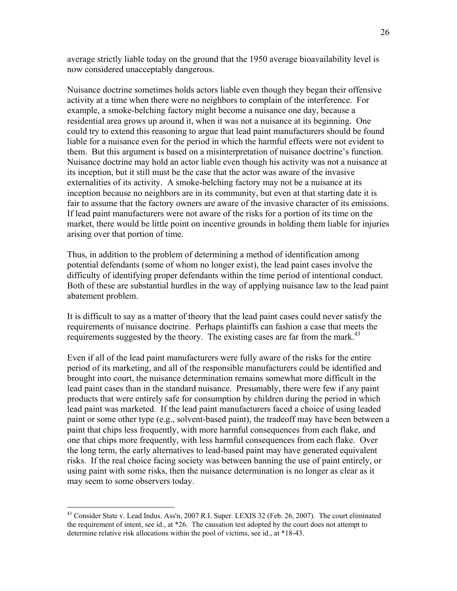average strictly liable today on the ground that the 1950 average bioavailability level is now considered unacceptably dangerous.

Nuisance doctrine sometimes holds actors liable even though they began their offensive activity at a time when there were no neighbors to complain of the interference. For example, a smoke-belching factory might become a nuisance one day, because a residential area grows up around it, when it was not a nuisance at its beginning. One could try to extend this reasoning to argue that lead paint manufacturers should be found liable for a nuisance even for the period in which the harmful effects were not evident to them. But this argument is based on a misinterpretation of nuisance doctrine's function. Nuisance doctrine may hold an actor liable even though his activity was not a nuisance at its inception, but it still must be the case that the actor was aware of the invasive externalities of its activity. A smoke-belching factory may not be a nuisance at its inception because no neighbors are in its community, but even at that starting date it is fair to assume that the factory owners are aware of the invasive character of its emissions. If lead paint manufacturers were not aware of the risks for a portion of its time on the market, there would be little point on incentive grounds in holding them liable for injuries arising over that portion of time.

Thus, in addition to the problem of determining a method of identification among potential defendants (some of whom no longer exist), the lead paint cases involve the difficulty of identifying proper defendants within the time period of intentional conduct. Both of these are substantial hurdles in the way of applying nuisance law to the lead paint abatement problem.

It is difficult to say as a matter of theory that the lead paint cases could never satisfy the requirements of nuisance doctrine. Perhaps plaintiffs can fashion a case that meets the requirements suggested by the theory. The existing cases are far from the mark.<sup>43</sup>

Even if all of the lead paint manufacturers were fully aware of the risks for the entire period of its marketing, and all of the responsible manufacturers could be identified and brought into court, the nuisance determination remains somewhat more difficult in the lead paint cases than in the standard nuisance. Presumably, there were few if any paint products that were entirely safe for consumption by children during the period in which lead paint was marketed. If the lead paint manufacturers faced a choice of using leaded paint or some other type (e.g., solvent-based paint), the tradeoff may have been between a paint that chips less frequently, with more harmful consequences from each flake, and one that chips more frequently, with less harmful consequences from each flake. Over the long term, the early alternatives to lead-based paint may have generated equivalent risks. If the real choice facing society was between banning the use of paint entirely, or using paint with some risks, then the nuisance determination is no longer as clear as it may seem to some observers today.

<sup>&</sup>lt;sup>43</sup> Consider State v. Lead Indus. Ass'n, 2007 R.I. Super. LEXIS 32 (Feb. 26, 2007). The court eliminated the requirement of intent, see id., at \*26. The causation test adopted by the court does not attempt to determine relative risk allocations within the pool of victims, see id., at \*18-43.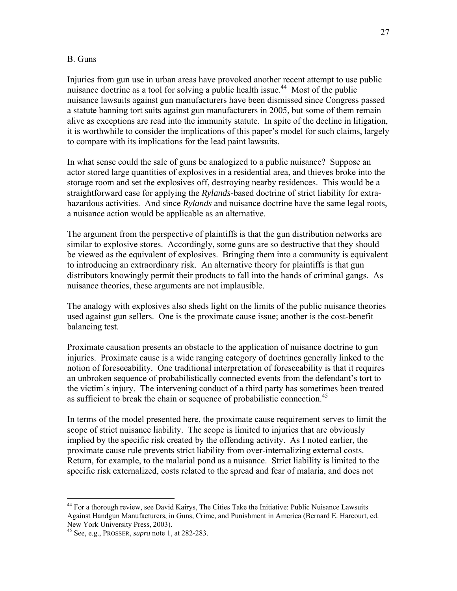#### B. Guns

Injuries from gun use in urban areas have provoked another recent attempt to use public nuisance doctrine as a tool for solving a public health issue.<sup>44</sup> Most of the public nuisance lawsuits against gun manufacturers have been dismissed since Congress passed a statute banning tort suits against gun manufacturers in 2005, but some of them remain alive as exceptions are read into the immunity statute. In spite of the decline in litigation, it is worthwhile to consider the implications of this paper's model for such claims, largely to compare with its implications for the lead paint lawsuits.

In what sense could the sale of guns be analogized to a public nuisance? Suppose an actor stored large quantities of explosives in a residential area, and thieves broke into the storage room and set the explosives off, destroying nearby residences. This would be a straightforward case for applying the *Rylands*-based doctrine of strict liability for extrahazardous activities. And since *Rylands* and nuisance doctrine have the same legal roots, a nuisance action would be applicable as an alternative.

The argument from the perspective of plaintiffs is that the gun distribution networks are similar to explosive stores. Accordingly, some guns are so destructive that they should be viewed as the equivalent of explosives. Bringing them into a community is equivalent to introducing an extraordinary risk. An alternative theory for plaintiffs is that gun distributors knowingly permit their products to fall into the hands of criminal gangs. As nuisance theories, these arguments are not implausible.

The analogy with explosives also sheds light on the limits of the public nuisance theories used against gun sellers. One is the proximate cause issue; another is the cost-benefit balancing test.

Proximate causation presents an obstacle to the application of nuisance doctrine to gun injuries. Proximate cause is a wide ranging category of doctrines generally linked to the notion of foreseeability. One traditional interpretation of foreseeability is that it requires an unbroken sequence of probabilistically connected events from the defendant's tort to the victim's injury. The intervening conduct of a third party has sometimes been treated as sufficient to break the chain or sequence of probabilistic connection.<sup>45</sup>

In terms of the model presented here, the proximate cause requirement serves to limit the scope of strict nuisance liability. The scope is limited to injuries that are obviously implied by the specific risk created by the offending activity. As I noted earlier, the proximate cause rule prevents strict liability from over-internalizing external costs. Return, for example, to the malarial pond as a nuisance. Strict liability is limited to the specific risk externalized, costs related to the spread and fear of malaria, and does not

<sup>&</sup>lt;sup>44</sup> For a thorough review, see David Kairys, The Cities Take the Initiative: Public Nuisance Lawsuits Against Handgun Manufacturers, in Guns, Crime, and Punishment in America (Bernard E. Harcourt, ed. New York University Press, 2003).

<sup>45</sup> See, e.g., PROSSER, *supra* note 1, at 282-283.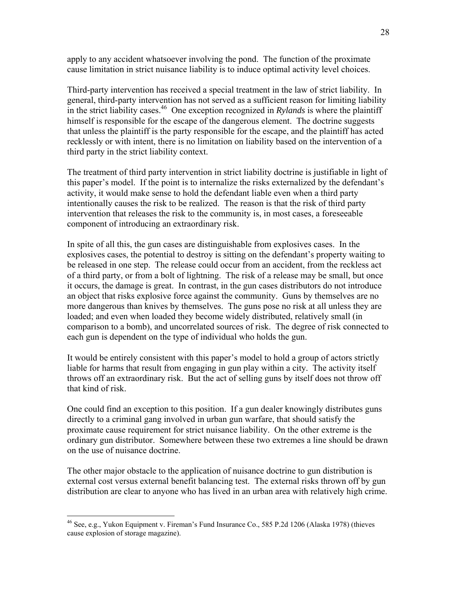apply to any accident whatsoever involving the pond. The function of the proximate cause limitation in strict nuisance liability is to induce optimal activity level choices.

Third-party intervention has received a special treatment in the law of strict liability. In general, third-party intervention has not served as a sufficient reason for limiting liability in the strict liability cases.<sup>46</sup> One exception recognized in *Rylands* is where the plaintiff himself is responsible for the escape of the dangerous element. The doctrine suggests that unless the plaintiff is the party responsible for the escape, and the plaintiff has acted recklessly or with intent, there is no limitation on liability based on the intervention of a third party in the strict liability context.

The treatment of third party intervention in strict liability doctrine is justifiable in light of this paper's model. If the point is to internalize the risks externalized by the defendant's activity, it would make sense to hold the defendant liable even when a third party intentionally causes the risk to be realized. The reason is that the risk of third party intervention that releases the risk to the community is, in most cases, a foreseeable component of introducing an extraordinary risk.

In spite of all this, the gun cases are distinguishable from explosives cases. In the explosives cases, the potential to destroy is sitting on the defendant's property waiting to be released in one step. The release could occur from an accident, from the reckless act of a third party, or from a bolt of lightning. The risk of a release may be small, but once it occurs, the damage is great. In contrast, in the gun cases distributors do not introduce an object that risks explosive force against the community. Guns by themselves are no more dangerous than knives by themselves. The guns pose no risk at all unless they are loaded; and even when loaded they become widely distributed, relatively small (in comparison to a bomb), and uncorrelated sources of risk. The degree of risk connected to each gun is dependent on the type of individual who holds the gun.

It would be entirely consistent with this paper's model to hold a group of actors strictly liable for harms that result from engaging in gun play within a city. The activity itself throws off an extraordinary risk. But the act of selling guns by itself does not throw off that kind of risk.

One could find an exception to this position. If a gun dealer knowingly distributes guns directly to a criminal gang involved in urban gun warfare, that should satisfy the proximate cause requirement for strict nuisance liability. On the other extreme is the ordinary gun distributor. Somewhere between these two extremes a line should be drawn on the use of nuisance doctrine.

The other major obstacle to the application of nuisance doctrine to gun distribution is external cost versus external benefit balancing test. The external risks thrown off by gun distribution are clear to anyone who has lived in an urban area with relatively high crime.

 $46$  See, e.g., Yukon Equipment v. Fireman's Fund Insurance Co., 585 P.2d 1206 (Alaska 1978) (thieves cause explosion of storage magazine).